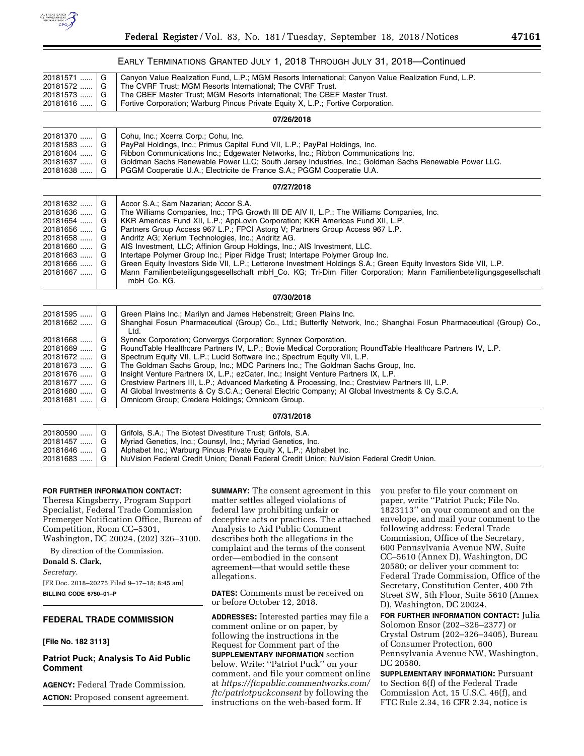

|                                                                                                          |                                           | EARLY TERMINATIONS GRANTED JULY 1, 2018 THROUGH JULY 31, 2018—Continued                                                                                                                                                                                                                                                                                                                                                                                                                                                                                                                                                                                                                                                                                                            |
|----------------------------------------------------------------------------------------------------------|-------------------------------------------|------------------------------------------------------------------------------------------------------------------------------------------------------------------------------------------------------------------------------------------------------------------------------------------------------------------------------------------------------------------------------------------------------------------------------------------------------------------------------------------------------------------------------------------------------------------------------------------------------------------------------------------------------------------------------------------------------------------------------------------------------------------------------------|
| 20181571<br>20181572<br>20181573<br>20181616                                                             | G<br>G<br>G<br>G                          | Canyon Value Realization Fund, L.P.; MGM Resorts International; Canyon Value Realization Fund, L.P.<br>The CVRF Trust; MGM Resorts International; The CVRF Trust.<br>The CBEF Master Trust; MGM Resorts International; The CBEF Master Trust.<br>Fortive Corporation; Warburg Pincus Private Equity X, L.P.; Fortive Corporation.                                                                                                                                                                                                                                                                                                                                                                                                                                                  |
|                                                                                                          |                                           | 07/26/2018                                                                                                                                                                                                                                                                                                                                                                                                                                                                                                                                                                                                                                                                                                                                                                         |
| 20181370<br>20181583<br>20181604<br>20181637<br>20181638                                                 | G<br>G<br>G<br>G<br>G                     | Cohu, Inc.; Xcerra Corp.; Cohu, Inc.<br>PayPal Holdings, Inc.; Primus Capital Fund VII, L.P.; PayPal Holdings, Inc.<br>Ribbon Communications Inc.; Edgewater Networks, Inc.; Ribbon Communications Inc.<br>Goldman Sachs Renewable Power LLC; South Jersey Industries, Inc.; Goldman Sachs Renewable Power LLC.<br>PGGM Cooperatie U.A.; Electricite de France S.A.; PGGM Cooperatie U.A.                                                                                                                                                                                                                                                                                                                                                                                          |
|                                                                                                          |                                           | 07/27/2018                                                                                                                                                                                                                                                                                                                                                                                                                                                                                                                                                                                                                                                                                                                                                                         |
| 20181632<br>20181636<br>20181654<br>20181656<br>20181658<br>20181660<br>20181663<br>20181666<br>20181667 | G<br>G<br>G<br>G<br>G<br>G<br>G<br>G<br>G | Accor S.A.; Sam Nazarian; Accor S.A.<br>The Williams Companies, Inc.; TPG Growth III DE AIV II, L.P.; The Williams Companies, Inc.<br>KKR Americas Fund XII, L.P.; AppLovin Corporation; KKR Americas Fund XII, L.P.<br>Partners Group Access 967 L.P.; FPCI Astorg V; Partners Group Access 967 L.P.<br>Andritz AG; Xerium Technologies, Inc.; Andritz AG.<br>AIS Investment, LLC; Affinion Group Holdings, Inc.; AIS Investment, LLC.<br>Intertape Polymer Group Inc.; Piper Ridge Trust; Intertape Polymer Group Inc.<br>Green Equity Investors Side VII, L.P.; Letterone Investment Holdings S.A.; Green Equity Investors Side VII, L.P.<br>Mann Familienbeteiligungsgesellschaft mbH_Co. KG; Tri-Dim Filter Corporation; Mann Familienbeteiligungsgesellschaft<br>mbH Co. KG. |
|                                                                                                          |                                           | 07/30/2018                                                                                                                                                                                                                                                                                                                                                                                                                                                                                                                                                                                                                                                                                                                                                                         |
| 20181595<br>20181662                                                                                     | G<br>G                                    | Green Plains Inc.; Marilyn and James Hebenstreit; Green Plains Inc.<br>Shanghai Fosun Pharmaceutical (Group) Co., Ltd.; Butterfly Network, Inc.; Shanghai Fosun Pharmaceutical (Group) Co.,<br>Ltd.                                                                                                                                                                                                                                                                                                                                                                                                                                                                                                                                                                                |
| 20181668<br>20181669<br>20181672<br>20181673<br>20181676<br>20181677<br>20181680<br>20181681             | G<br>G<br>G<br>G<br>G<br>G<br>G<br>G      | Synnex Corporation; Convergys Corporation; Synnex Corporation.<br>RoundTable Healthcare Partners IV, L.P.; Bovie Medical Corporation; RoundTable Healthcare Partners IV, L.P.<br>Spectrum Equity VII, L.P.; Lucid Software Inc.; Spectrum Equity VII, L.P.<br>The Goldman Sachs Group, Inc.; MDC Partners Inc.; The Goldman Sachs Group, Inc.<br>Insight Venture Partners IX, L.P.; ezCater, Inc.; Insight Venture Partners IX, L.P.<br>Crestview Partners III, L.P.; Advanced Marketing & Processing, Inc.; Crestview Partners III, L.P.<br>Al Global Investments & Cy S.C.A.; General Electric Company; Al Global Investments & Cy S.C.A.<br>Omnicom Group; Credera Holdings; Omnicom Group.                                                                                     |
|                                                                                                          |                                           | 07/31/2018                                                                                                                                                                                                                                                                                                                                                                                                                                                                                                                                                                                                                                                                                                                                                                         |
| 20180590<br>20181457<br>20181646<br>20181683                                                             | G<br>G<br>G<br>G                          | Grifols, S.A.; The Biotest Divestiture Trust; Grifols, S.A.<br>Myriad Genetics, Inc.; Counsyl, Inc.; Myriad Genetics, Inc.<br>Alphabet Inc.; Warburg Pincus Private Equity X, L.P.; Alphabet Inc.<br>NuVision Federal Credit Union; Denali Federal Credit Union; NuVision Federal Credit Union.                                                                                                                                                                                                                                                                                                                                                                                                                                                                                    |

#### **FOR FURTHER INFORMATION CONTACT:**

Theresa Kingsberry, Program Support Specialist, Federal Trade Commission Premerger Notification Office, Bureau of Competition, Room CC–5301, Washington, DC 20024, (202) 326–3100.

By direction of the Commission. **Donald S. Clark,**  *Secretary.* 

[FR Doc. 2018–20275 Filed 9–17–18; 8:45 am] **BILLING CODE 6750–01–P** 

# **FEDERAL TRADE COMMISSION**

#### **[File No. 182 3113]**

## **Patriot Puck; Analysis To Aid Public Comment**

**AGENCY:** Federal Trade Commission. **ACTION:** Proposed consent agreement. **SUMMARY:** The consent agreement in this matter settles alleged violations of federal law prohibiting unfair or deceptive acts or practices. The attached Analysis to Aid Public Comment describes both the allegations in the complaint and the terms of the consent order—embodied in the consent agreement—that would settle these allegations.

**DATES:** Comments must be received on or before October 12, 2018.

**ADDRESSES:** Interested parties may file a comment online or on paper, by following the instructions in the Request for Comment part of the **SUPPLEMENTARY INFORMATION** section below. Write: ''Patriot Puck'' on your comment, and file your comment online at *[https://ftcpublic.commentworks.com/](https://ftcpublic.commentworks.com/ftc/patriotpuckconsent) [ftc/patriotpuckconsent](https://ftcpublic.commentworks.com/ftc/patriotpuckconsent)* by following the instructions on the web-based form. If

you prefer to file your comment on paper, write ''Patriot Puck; File No. 1823113'' on your comment and on the envelope, and mail your comment to the following address: Federal Trade Commission, Office of the Secretary, 600 Pennsylvania Avenue NW, Suite CC–5610 (Annex D), Washington, DC 20580; or deliver your comment to: Federal Trade Commission, Office of the Secretary, Constitution Center, 400 7th Street SW, 5th Floor, Suite 5610 (Annex D), Washington, DC 20024.

**FOR FURTHER INFORMATION CONTACT:** Julia Solomon Ensor (202–326–2377) or Crystal Ostrum (202–326–3405), Bureau of Consumer Protection, 600 Pennsylvania Avenue NW, Washington, DC 20580.

**SUPPLEMENTARY INFORMATION: Pursuant** to Section 6(f) of the Federal Trade Commission Act, 15 U.S.C. 46(f), and FTC Rule 2.34, 16 CFR 2.34, notice is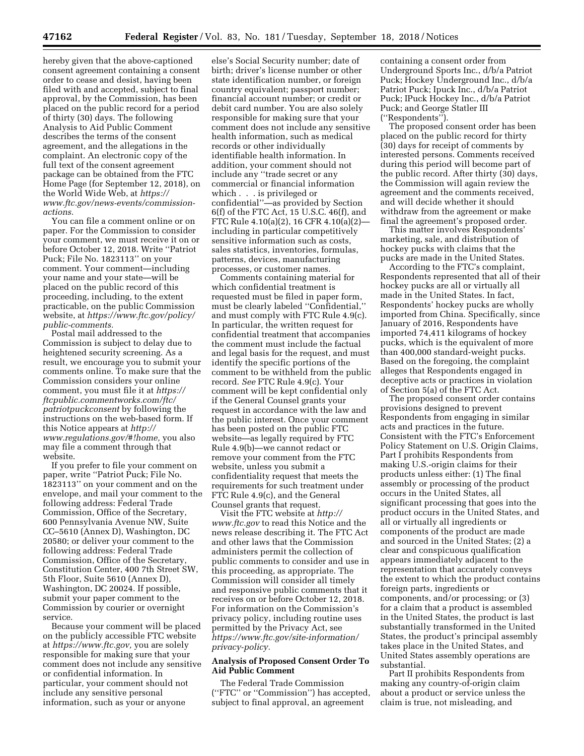hereby given that the above-captioned consent agreement containing a consent order to cease and desist, having been filed with and accepted, subject to final approval, by the Commission, has been placed on the public record for a period of thirty (30) days. The following Analysis to Aid Public Comment describes the terms of the consent agreement, and the allegations in the complaint. An electronic copy of the full text of the consent agreement package can be obtained from the FTC Home Page (for September 12, 2018), on the World Wide Web, at *[https://](https://www.ftc.gov/news-events/commission-actions) [www.ftc.gov/news-events/commission](https://www.ftc.gov/news-events/commission-actions)[actions.](https://www.ftc.gov/news-events/commission-actions)* 

You can file a comment online or on paper. For the Commission to consider your comment, we must receive it on or before October 12, 2018. Write ''Patriot Puck; File No. 1823113'' on your comment. Your comment—including your name and your state—will be placed on the public record of this proceeding, including, to the extent practicable, on the public Commission website, at *[https://www.ftc.gov/policy/](https://www.ftc.gov/policy/public-comments) [public-comments.](https://www.ftc.gov/policy/public-comments)* 

Postal mail addressed to the Commission is subject to delay due to heightened security screening. As a result, we encourage you to submit your comments online. To make sure that the Commission considers your online comment, you must file it at *[https://](https://ftcpublic.commentworks.com/ftc/patriotpuckconsent) [ftcpublic.commentworks.com/ftc/](https://ftcpublic.commentworks.com/ftc/patriotpuckconsent)  [patriotpuckconsent](https://ftcpublic.commentworks.com/ftc/patriotpuckconsent)* by following the instructions on the web-based form. If this Notice appears at *[http://](http://www.regulations.gov/#!home) [www.regulations.gov/#!home,](http://www.regulations.gov/#!home)* you also may file a comment through that website.

If you prefer to file your comment on paper, write ''Patriot Puck; File No. 1823113'' on your comment and on the envelope, and mail your comment to the following address: Federal Trade Commission, Office of the Secretary, 600 Pennsylvania Avenue NW, Suite CC–5610 (Annex D), Washington, DC 20580; or deliver your comment to the following address: Federal Trade Commission, Office of the Secretary, Constitution Center, 400 7th Street SW, 5th Floor, Suite 5610 (Annex D), Washington, DC 20024. If possible, submit your paper comment to the Commission by courier or overnight service.

Because your comment will be placed on the publicly accessible FTC website at *[https://www.ftc.gov,](https://www.ftc.gov)* you are solely responsible for making sure that your comment does not include any sensitive or confidential information. In particular, your comment should not include any sensitive personal information, such as your or anyone

else's Social Security number; date of birth; driver's license number or other state identification number, or foreign country equivalent; passport number; financial account number; or credit or debit card number. You are also solely responsible for making sure that your comment does not include any sensitive health information, such as medical records or other individually identifiable health information. In addition, your comment should not include any ''trade secret or any commercial or financial information which . . . is privileged or confidential''—as provided by Section 6(f) of the FTC Act, 15 U.S.C. 46(f), and FTC Rule 4.10(a)(2), 16 CFR 4.10(a)(2) including in particular competitively sensitive information such as costs, sales statistics, inventories, formulas, patterns, devices, manufacturing processes, or customer names.

Comments containing material for which confidential treatment is requested must be filed in paper form, must be clearly labeled ''Confidential,'' and must comply with FTC Rule 4.9(c). In particular, the written request for confidential treatment that accompanies the comment must include the factual and legal basis for the request, and must identify the specific portions of the comment to be withheld from the public record. *See* FTC Rule 4.9(c). Your comment will be kept confidential only if the General Counsel grants your request in accordance with the law and the public interest. Once your comment has been posted on the public FTC website—as legally required by FTC Rule 4.9(b)—we cannot redact or remove your comment from the FTC website, unless you submit a confidentiality request that meets the requirements for such treatment under FTC Rule 4.9(c), and the General Counsel grants that request.

Visit the FTC website at *[http://](http://www.ftc.gov) [www.ftc.gov](http://www.ftc.gov)* to read this Notice and the news release describing it. The FTC Act and other laws that the Commission administers permit the collection of public comments to consider and use in this proceeding, as appropriate. The Commission will consider all timely and responsive public comments that it receives on or before October 12, 2018. For information on the Commission's privacy policy, including routine uses permitted by the Privacy Act, see *[https://www.ftc.gov/site-information/](https://www.ftc.gov/site-information/privacy-policy) [privacy-policy.](https://www.ftc.gov/site-information/privacy-policy)* 

### **Analysis of Proposed Consent Order To Aid Public Comment**

The Federal Trade Commission (''FTC'' or ''Commission'') has accepted, subject to final approval, an agreement

containing a consent order from Underground Sports Inc., d/b/a Patriot Puck; Hockey Underground Inc., d/b/a Patriot Puck; Ipuck Inc., d/b/a Patriot Puck; IPuck Hockey Inc., d/b/a Patriot Puck; and George Statler III (''Respondents'').

The proposed consent order has been placed on the public record for thirty (30) days for receipt of comments by interested persons. Comments received during this period will become part of the public record. After thirty (30) days, the Commission will again review the agreement and the comments received, and will decide whether it should withdraw from the agreement or make final the agreement's proposed order.

This matter involves Respondents' marketing, sale, and distribution of hockey pucks with claims that the pucks are made in the United States.

According to the FTC's complaint, Respondents represented that all of their hockey pucks are all or virtually all made in the United States. In fact, Respondents' hockey pucks are wholly imported from China. Specifically, since January of 2016, Respondents have imported 74,411 kilograms of hockey pucks, which is the equivalent of more than 400,000 standard-weight pucks. Based on the foregoing, the complaint alleges that Respondents engaged in deceptive acts or practices in violation of Section 5(a) of the FTC Act.

The proposed consent order contains provisions designed to prevent Respondents from engaging in similar acts and practices in the future. Consistent with the FTC's Enforcement Policy Statement on U.S. Origin Claims, Part I prohibits Respondents from making U.S.-origin claims for their products unless either: (1) The final assembly or processing of the product occurs in the United States, all significant processing that goes into the product occurs in the United States, and all or virtually all ingredients or components of the product are made and sourced in the United States; (2) a clear and conspicuous qualification appears immediately adjacent to the representation that accurately conveys the extent to which the product contains foreign parts, ingredients or components, and/or processing; or (3) for a claim that a product is assembled in the United States, the product is last substantially transformed in the United States, the product's principal assembly takes place in the United States, and United States assembly operations are substantial.

Part II prohibits Respondents from making any country-of-origin claim about a product or service unless the claim is true, not misleading, and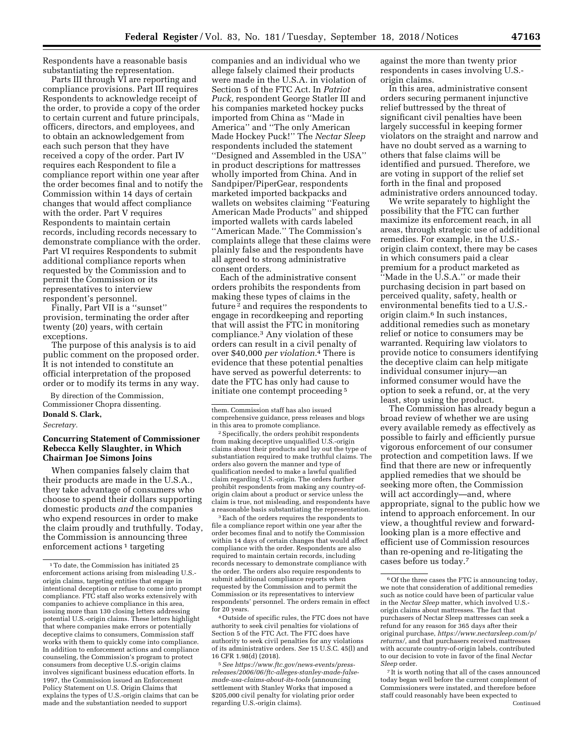Respondents have a reasonable basis substantiating the representation.

Parts III through VI are reporting and compliance provisions. Part III requires Respondents to acknowledge receipt of the order, to provide a copy of the order to certain current and future principals, officers, directors, and employees, and to obtain an acknowledgement from each such person that they have received a copy of the order. Part IV requires each Respondent to file a compliance report within one year after the order becomes final and to notify the Commission within 14 days of certain changes that would affect compliance with the order. Part V requires Respondents to maintain certain records, including records necessary to demonstrate compliance with the order. Part VI requires Respondents to submit additional compliance reports when requested by the Commission and to permit the Commission or its representatives to interview respondent's personnel.

Finally, Part VII is a ''sunset'' provision, terminating the order after twenty (20) years, with certain exceptions.

The purpose of this analysis is to aid public comment on the proposed order. It is not intended to constitute an official interpretation of the proposed order or to modify its terms in any way.

By direction of the Commission, Commissioner Chopra dissenting.

#### **Donald S. Clark,**

*Secretary.* 

## **Concurring Statement of Commissioner Rebecca Kelly Slaughter, in Which Chairman Joe Simons Joins**

When companies falsely claim that their products are made in the U.S.A., they take advantage of consumers who choose to spend their dollars supporting domestic products *and* the companies who expend resources in order to make the claim proudly and truthfully. Today, the Commission is announcing three enforcement actions<sup>1</sup> targeting

companies and an individual who we allege falsely claimed their products were made in the U.S.A. in violation of Section 5 of the FTC Act. In *Patriot Puck,* respondent George Statler III and his companies marketed hockey pucks imported from China as ''Made in America'' and ''The only American Made Hockey Puck!'' The *Nectar Sleep*  respondents included the statement ''Designed and Assembled in the USA'' in product descriptions for mattresses wholly imported from China. And in Sandpiper/PiperGear, respondents marketed imported backpacks and wallets on websites claiming ''Featuring American Made Products'' and shipped imported wallets with cards labeled ''American Made.'' The Commission's complaints allege that these claims were plainly false and the respondents have all agreed to strong administrative consent orders.

Each of the administrative consent orders prohibits the respondents from making these types of claims in the future 2 and requires the respondents to engage in recordkeeping and reporting that will assist the FTC in monitoring compliance.3 Any violation of these orders can result in a civil penalty of over \$40,000 *per violation.*4 There is evidence that these potential penalties have served as powerful deterrents: to date the FTC has only had cause to initiate one contempt proceeding 5

2Specifically, the orders prohibit respondents from making deceptive unqualified U.S.-origin claims about their products and lay out the type of substantiation required to make truthful claims. The orders also govern the manner and type of qualification needed to make a lawful qualified claim regarding U.S.-origin. The orders further prohibit respondents from making any country-oforigin claim about a product or service unless the claim is true, not misleading, and respondents have a reasonable basis substantiating the representation.

3Each of the orders requires the respondents to file a compliance report within one year after the order becomes final and to notify the Commission within 14 days of certain changes that would affect compliance with the order. Respondents are also required to maintain certain records, including records necessary to demonstrate compliance with the order. The orders also require respondents to submit additional compliance reports when requested by the Commission and to permit the Commission or its representatives to interview respondents' personnel. The orders remain in effect for 20 years.

4Outside of specific rules, the FTC does not have authority to seek civil penalties for violations of Section 5 of the FTC Act. The FTC does have authority to seek civil penalties for any violations of its administrative orders. *See* 15 U.S.C. 45(l) and 16 CFR 1.98(d) (2018).

5*See [https://www.ftc.gov/news-events/press](https://www.ftc.gov/news-events/press-releases/2006/06/ftc-alleges-stanley-made-false-made-usa-claims-about-its-tools)[releases/2006/06/ftc-alleges-stanley-made-false](https://www.ftc.gov/news-events/press-releases/2006/06/ftc-alleges-stanley-made-false-made-usa-claims-about-its-tools)[made-usa-claims-about-its-tools](https://www.ftc.gov/news-events/press-releases/2006/06/ftc-alleges-stanley-made-false-made-usa-claims-about-its-tools)* (announcing settlement with Stanley Works that imposed a \$205,000 civil penalty for violating prior order regarding U.S.-origin claims).

against the more than twenty prior respondents in cases involving U.S. origin claims.

In this area, administrative consent orders securing permanent injunctive relief buttressed by the threat of significant civil penalties have been largely successful in keeping former violators on the straight and narrow and have no doubt served as a warning to others that false claims will be identified and pursued. Therefore, we are voting in support of the relief set forth in the final and proposed administrative orders announced today.

We write separately to highlight the possibility that the FTC can further maximize its enforcement reach, in all areas, through strategic use of additional remedies. For example, in the U.S. origin claim context, there may be cases in which consumers paid a clear premium for a product marketed as ''Made in the U.S.A.'' or made their purchasing decision in part based on perceived quality, safety, health or environmental benefits tied to a U.S. origin claim.6 In such instances, additional remedies such as monetary relief or notice to consumers may be warranted. Requiring law violators to provide notice to consumers identifying the deceptive claim can help mitigate individual consumer injury—an informed consumer would have the option to seek a refund, or, at the very least, stop using the product.

The Commission has already begun a broad review of whether we are using every available remedy as effectively as possible to fairly and efficiently pursue vigorous enforcement of our consumer protection and competition laws. If we find that there are new or infrequently applied remedies that we should be seeking more often, the Commission will act accordingly—and, where appropriate, signal to the public how we intend to approach enforcement. In our view, a thoughtful review and forwardlooking plan is a more effective and efficient use of Commission resources than re-opening and re-litigating the cases before us today.7

<sup>1</sup>To date, the Commission has initiated 25 enforcement actions arising from misleading U.S. origin claims, targeting entities that engage in intentional deception or refuse to come into prompt compliance. FTC staff also works extensively with companies to achieve compliance in this area, issuing more than 130 closing letters addressing potential U.S.-origin claims. These letters highlight that where companies make errors or potentially deceptive claims to consumers, Commission staff works with them to quickly come into compliance. In addition to enforcement actions and compliance counseling, the Commission's program to protect consumers from deceptive U.S.-origin claims involves significant business education efforts. In 1997, the Commission issued an Enforcement Policy Statement on U.S. Origin Claims that explains the types of U.S.-origin claims that can be made and the substantiation needed to support

them. Commission staff has also issued comprehensive guidance, press releases and blogs in this area to promote compliance.

<sup>6</sup>Of the three cases the FTC is announcing today, we note that consideration of additional remedies such as notice could have been of particular value in the *Nectar Sleep* matter, which involved U.S. origin claims about mattresses. The fact that purchasers of Nectar Sleep mattresses can seek a refund for any reason for 365 days after their original purchase, *[https://www.nectarsleep.com/p/](https://www.nectarsleep.com/p/returns/)  [returns/,](https://www.nectarsleep.com/p/returns/)* and that purchasers received mattresses with accurate country-of-origin labels, contributed to our decision to vote in favor of the final *Nectar Sleep* order.

<sup>7</sup> It is worth noting that all of the cases announced today began well before the current complement of Commissioners were instated, and therefore before staff could reasonably have been expected to Continued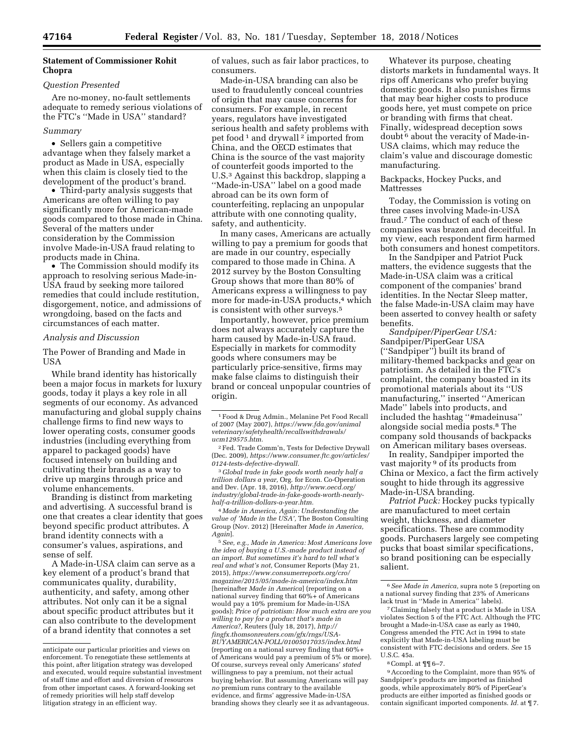## **Statement of Commissioner Rohit Chopra**

### *Question Presented*

Are no-money, no-fault settlements adequate to remedy serious violations of the FTC's ''Made in USA'' standard?

## *Summary*

• Sellers gain a competitive advantage when they falsely market a product as Made in USA, especially when this claim is closely tied to the development of the product's brand.

• Third-party analysis suggests that Americans are often willing to pay significantly more for American-made goods compared to those made in China. Several of the matters under consideration by the Commission involve Made-in-USA fraud relating to products made in China.

• The Commission should modify its approach to resolving serious Made-in-USA fraud by seeking more tailored remedies that could include restitution, disgorgement, notice, and admissions of wrongdoing, based on the facts and circumstances of each matter.

### *Analysis and Discussion*

The Power of Branding and Made in USA

While brand identity has historically been a major focus in markets for luxury goods, today it plays a key role in all segments of our economy. As advanced manufacturing and global supply chains challenge firms to find new ways to lower operating costs, consumer goods industries (including everything from apparel to packaged goods) have focused intensely on building and cultivating their brands as a way to drive up margins through price and volume enhancements.

Branding is distinct from marketing and advertising. A successful brand is one that creates a clear identity that goes beyond specific product attributes. A brand identity connects with a consumer's values, aspirations, and sense of self.

A Made-in-USA claim can serve as a key element of a product's brand that communicates quality, durability, authenticity, and safety, among other attributes. Not only can it be a signal about specific product attributes but it can also contribute to the development of a brand identity that connotes a set

of values, such as fair labor practices, to consumers.

Made-in-USA branding can also be used to fraudulently conceal countries of origin that may cause concerns for consumers. For example, in recent years, regulators have investigated serious health and safety problems with pet food 1 and drywall 2 imported from China, and the OECD estimates that China is the source of the vast majority of counterfeit goods imported to the U.S.3 Against this backdrop, slapping a ''Made-in-USA'' label on a good made abroad can be its own form of counterfeiting, replacing an unpopular attribute with one connoting quality, safety, and authenticity.

In many cases, Americans are actually willing to pay a premium for goods that are made in our country, especially compared to those made in China. A 2012 survey by the Boston Consulting Group shows that more than 80% of Americans express a willingness to pay more for made-in-USA products,<sup>4</sup> which is consistent with other surveys.5

Importantly, however, price premium does not always accurately capture the harm caused by Made-in-USA fraud. Especially in markets for commodity goods where consumers may be particularly price-sensitive, firms may make false claims to distinguish their brand or conceal unpopular countries of origin.

3 *Global trade in fake goods worth nearly half a trillion dollars a year,* Org. for Econ. Co-Operation and Dev. (Apr. 18, 2016), *[http://www.oecd.org/](http://www.oecd.org/industry/global-trade-in-fake-goods-worth-nearly-half-a-trillion-dollars-a-year.htm)  [industry/global-trade-in-fake-goods-worth-nearly](http://www.oecd.org/industry/global-trade-in-fake-goods-worth-nearly-half-a-trillion-dollars-a-year.htm)[half-a-trillion-dollars-a-year.htm.](http://www.oecd.org/industry/global-trade-in-fake-goods-worth-nearly-half-a-trillion-dollars-a-year.htm)* 

4 *Made in America, Again: Understanding the value of 'Made in the USA',* The Boston Consulting Group (Nov. 2012) [Hereinafter *Made in America, Again*].

5*See, e.g., Made in America: Most Americans love the idea of buying a U.S.-made product instead of an import. But sometimes it's hard to tell what's real and what's not,* Consumer Reports (May 21, 2015), *[https://www.consumerreports.org/cro/](https://www.consumerreports.org/cro/magazine/2015/05/made-in-america/index.htm) [magazine/2015/05/made-in-america/index.htm](https://www.consumerreports.org/cro/magazine/2015/05/made-in-america/index.htm)*  [hereinafter *Made in America*] (reporting on a national survey finding that 60%+ of Americans would pay a 10% premium for Made-in-USA goods); *Price of patriotism: How much extra are you willing to pay for a product that's made in America?,* Reuters (July 18, 2017), *[http://](http://fingfx.thomsonreuters.com/gfx/rngs/USA-BUYAMERICAN-POLL/01005017035/index.html) [fingfx.thomsonreuters.com/gfx/rngs/USA-](http://fingfx.thomsonreuters.com/gfx/rngs/USA-BUYAMERICAN-POLL/01005017035/index.html)[BUYAMERICAN-POLL/01005017035/index.html](http://fingfx.thomsonreuters.com/gfx/rngs/USA-BUYAMERICAN-POLL/01005017035/index.html)*  (reporting on a national survey finding that 60%+ of Americans would pay a premium of 5% or more). Of course, surveys reveal only Americans' *stated*  willingness to pay a premium, not their actual buying behavior. But assuming Americans will pay *no* premium runs contrary to the available evidence, and firms' aggressive Made-in-USA branding shows they clearly see it as advantageous.

Whatever its purpose, cheating distorts markets in fundamental ways. It rips off Americans who prefer buying domestic goods. It also punishes firms that may bear higher costs to produce goods here, yet must compete on price or branding with firms that cheat. Finally, widespread deception sows doubt 6 about the veracity of Made-in-USA claims, which may reduce the claim's value and discourage domestic manufacturing.

### Backpacks, Hockey Pucks, and **Mattresses**

Today, the Commission is voting on three cases involving Made-in-USA fraud.7 The conduct of each of these companies was brazen and deceitful. In my view, each respondent firm harmed both consumers and honest competitors.

In the Sandpiper and Patriot Puck matters, the evidence suggests that the Made-in-USA claim was a critical component of the companies' brand identities. In the Nectar Sleep matter, the false Made-in-USA claim may have been asserted to convey health or safety benefits.

*Sandpiper/PiperGear USA:*  Sandpiper/PiperGear USA (''Sandpiper'') built its brand of military-themed backpacks and gear on patriotism. As detailed in the FTC's complaint, the company boasted in its promotional materials about its ''US manufacturing,'' inserted ''American Made'' labels into products, and included the hashtag ''#madeinusa'' alongside social media posts.8 The company sold thousands of backpacks on American military bases overseas.

In reality, Sandpiper imported the vast majority<sup>9</sup> of its products from China or Mexico, a fact the firm actively sought to hide through its aggressive Made-in-USA branding.

*Patriot Puck:* Hockey pucks typically are manufactured to meet certain weight, thickness, and diameter specifications. These are commodity goods. Purchasers largely see competing pucks that boast similar specifications, so brand positioning can be especially salient.

6*See Made in America,* supra note 5 (reporting on a national survey finding that 23% of Americans lack trust in ''Made in America'' labels).

7Claiming falsely that a product is Made in USA violates Section 5 of the FTC Act. Although the FTC brought a Made-in-USA case as early as 1940, Congress amended the FTC Act in 1994 to state explicitly that Made-in-USA labeling must be consistent with FTC decisions and orders. *See* 15 U.S.C. 45a.

8Compl. at ¶¶ 6–7.

9According to the Complaint, more than 95% of Sandpiper's products are imported as finished goods, while approximately 80% of PiperGear's products are either imported as finished goods or contain significant imported components. *Id.* at ¶ 7.

anticipate our particular priorities and views on enforcement. To renegotiate these settlements at this point, after litigation strategy was developed and executed, would require substantial investment of staff time and effort and diversion of resources from other important cases. A forward-looking set of remedy priorities will help staff develop litigation strategy in an efficient way.

<sup>1</sup>Food & Drug Admin., Melanine Pet Food Recall of 2007 (May 2007), *[https://www.fda.gov/animal](https://www.fda.gov/animalveterinary/safetyhealth/recallswithdrawals/ucm129575.htm) [veterinary/safetyhealth/recallswithdrawals/](https://www.fda.gov/animalveterinary/safetyhealth/recallswithdrawals/ucm129575.htm)  [ucm129575.htm.](https://www.fda.gov/animalveterinary/safetyhealth/recallswithdrawals/ucm129575.htm)* 

<sup>2</sup>Fed. Trade Comm'n, Tests for Defective Drywall (Dec. 2009), *[https://www.consumer.ftc.gov/articles/](https://www.consumer.ftc.gov/articles/0124-tests-defective-drywall) [0124-tests-defective-drywall.](https://www.consumer.ftc.gov/articles/0124-tests-defective-drywall)*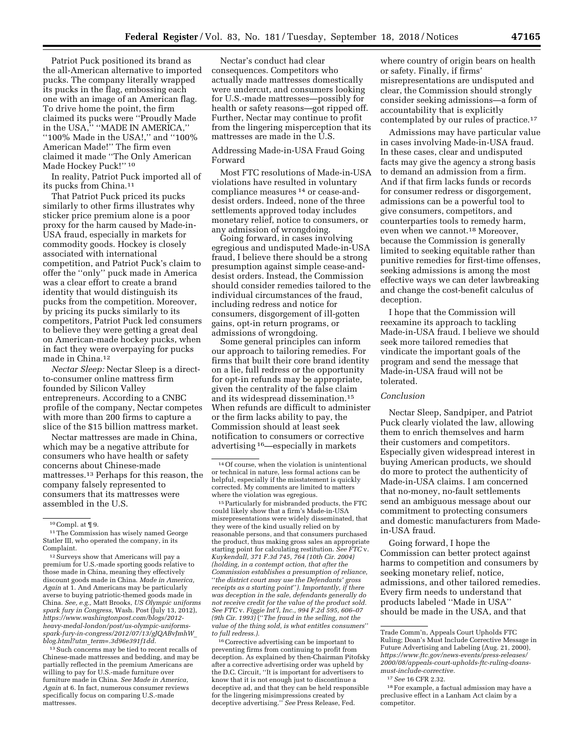Patriot Puck positioned its brand as the all-American alternative to imported pucks. The company literally wrapped its pucks in the flag, embossing each one with an image of an American flag. To drive home the point, the firm claimed its pucks were ''Proudly Made in the USA,'' ''MADE IN AMERICA,'' ''100% Made in the USA!,'' and ''100% American Made!'' The firm even claimed it made ''The Only American Made Hockey Puck!"<sup>10</sup>

In reality, Patriot Puck imported all of its pucks from China.11

That Patriot Puck priced its pucks similarly to other firms illustrates why sticker price premium alone is a poor proxy for the harm caused by Made-in-USA fraud, especially in markets for commodity goods. Hockey is closely associated with international competition, and Patriot Puck's claim to offer the ''only'' puck made in America was a clear effort to create a brand identity that would distinguish its pucks from the competition. Moreover, by pricing its pucks similarly to its competitors, Patriot Puck led consumers to believe they were getting a great deal on American-made hockey pucks, when in fact they were overpaying for pucks made in China.12

*Nectar Sleep:* Nectar Sleep is a directto-consumer online mattress firm founded by Silicon Valley entrepreneurs. According to a CNBC profile of the company, Nectar competes with more than 200 firms to capture a slice of the \$15 billion mattress market.

Nectar mattresses are made in China, which may be a negative attribute for consumers who have health or safety concerns about Chinese-made mattresses.13 Perhaps for this reason, the company falsely represented to consumers that its mattresses were assembled in the U.S.

11The Commission has wisely named George Statler III, who operated the company, in its Complaint.

12Surveys show that Americans will pay a premium for U.S.-made sporting goods relative to those made in China, meaning they effectively discount goods made in China. *Made in America, Again* at 1. And Americans may be particularly averse to buying patriotic-themed goods made in China. *See, e.g.,* Matt Brooks, *US Olympic uniforms spark fury in Congress,* Wash. Post (July 13, 2012), *[https://www.washingtonpost.com/blogs/2012](https://www.washingtonpost.com/blogs/2012-heavy-medal-london/post/us-olympic-uniforms-spark-fury-in-congress/2012/07/13/gJQABvJmhW_blog.html?utm_term=.3d96e391f1dd)  [heavy-medal-london/post/us-olympic-uniforms](https://www.washingtonpost.com/blogs/2012-heavy-medal-london/post/us-olympic-uniforms-spark-fury-in-congress/2012/07/13/gJQABvJmhW_blog.html?utm_term=.3d96e391f1dd)[spark-fury-in-congress/2012/07/13/gJQABvJmhW](https://www.washingtonpost.com/blogs/2012-heavy-medal-london/post/us-olympic-uniforms-spark-fury-in-congress/2012/07/13/gJQABvJmhW_blog.html?utm_term=.3d96e391f1dd)*\_ *blog.html?utm*\_*[term=.3d96e391f1dd](https://www.washingtonpost.com/blogs/2012-heavy-medal-london/post/us-olympic-uniforms-spark-fury-in-congress/2012/07/13/gJQABvJmhW_blog.html?utm_term=.3d96e391f1dd)*.

<sup>13</sup> Such concerns may be tied to recent recalls of Chinese-made mattresses and bedding, and may be partially reflected in the premium Americans are willing to pay for U.S.-made furniture over furniture made in China. *See Made in America, Again* at 6. In fact, numerous consumer reviews specifically focus on comparing U.S.-made mattresses.

Nectar's conduct had clear consequences. Competitors who actually made mattresses domestically were undercut, and consumers looking for U.S.-made mattresses—possibly for health or safety reasons—got ripped off. Further, Nectar may continue to profit from the lingering misperception that its mattresses are made in the U.S.

### Addressing Made-in-USA Fraud Going Forward

Most FTC resolutions of Made-in-USA violations have resulted in voluntary compliance measures 14 or cease-anddesist orders. Indeed, none of the three settlements approved today includes monetary relief, notice to consumers, or any admission of wrongdoing.

Going forward, in cases involving egregious and undisputed Made-in-USA fraud, I believe there should be a strong presumption against simple cease-anddesist orders. Instead, the Commission should consider remedies tailored to the individual circumstances of the fraud, including redress and notice for consumers, disgorgement of ill-gotten gains, opt-in return programs, or admissions of wrongdoing.

Some general principles can inform our approach to tailoring remedies. For firms that built their core brand identity on a lie, full redress or the opportunity for opt-in refunds may be appropriate, given the centrality of the false claim and its widespread dissemination.15 When refunds are difficult to administer or the firm lacks ability to pay, the Commission should at least seek notification to consumers or corrective advertising 16—especially in markets

15Particularly for misbranded products, the FTC could likely show that a firm's Made-in-USA misrepresentations were widely disseminated, that they were of the kind usually relied on by reasonable persons, and that consumers purchased the product, thus making gross sales an appropriate starting point for calculating restitution. *See FTC* v. *Kuykendall, 371 F.3d 745, 764 (10th Cir. 2004) (holding, in a contempt action, that after the Commission establishes a presumption of reliance,*  ''*the district court may use the Defendants' gross receipts as a starting point*''*). Importantly, if there was deception in the sale, defendants generally do not receive credit for the value of the product sold. See FTC* v. *Figgie Int'l, Inc., 994 F.2d 595, 606–07 (9th Cir. 1993)* (''*The fraud in the selling, not the value of the thing sold, is what entitles consumers*'' *to full redress.).* 

16Corrective advertising can be important to preventing firms from continuing to profit from deception. As explained by then-Chairman Pitofsky after a corrective advertising order was upheld by the D.C. Circuit, ''It is important for advertisers to know that it is not enough just to discontinue a deceptive ad, and that they can be held responsible for the lingering misimpressions created by deceptive advertising.'' *See* Press Release, Fed.

where country of origin bears on health or safety. Finally, if firms' misrepresentations are undisputed and clear, the Commission should strongly consider seeking admissions—a form of accountability that is explicitly contemplated by our rules of practice.17

Admissions may have particular value in cases involving Made-in-USA fraud. In these cases, clear and undisputed facts may give the agency a strong basis to demand an admission from a firm. And if that firm lacks funds or records for consumer redress or disgorgement, admissions can be a powerful tool to give consumers, competitors, and counterparties tools to remedy harm, even when we cannot.18 Moreover, because the Commission is generally limited to seeking equitable rather than punitive remedies for first-time offenses, seeking admissions is among the most effective ways we can deter lawbreaking and change the cost-benefit calculus of deception.

I hope that the Commission will reexamine its approach to tackling Made-in-USA fraud. I believe we should seek more tailored remedies that vindicate the important goals of the program and send the message that Made-in-USA fraud will not be tolerated.

#### *Conclusion*

Nectar Sleep, Sandpiper, and Patriot Puck clearly violated the law, allowing them to enrich themselves and harm their customers and competitors. Especially given widespread interest in buying American products, we should do more to protect the authenticity of Made-in-USA claims. I am concerned that no-money, no-fault settlements send an ambiguous message about our commitment to protecting consumers and domestic manufacturers from Madein-USA fraud.

Going forward, I hope the Commission can better protect against harms to competition and consumers by seeking monetary relief, notice, admissions, and other tailored remedies. Every firm needs to understand that products labeled ''Made in USA'' should be made in the USA, and that

 $10$  Compl. at  $\P$  9.

<sup>14</sup>Of course, when the violation is unintentional or technical in nature, less formal actions can be helpful, especially if the misstatement is quickly corrected. My comments are limited to matters where the violation was egregious.

Trade Comm'n, Appeals Court Upholds FTC Ruling; Doan's Must Include Corrective Message in Future Advertising and Labeling (Aug. 21, 2000), *[https://www.ftc.gov/news-events/press-releases/](https://www.ftc.gov/news-events/press-releases/2000/08/appeals-court-upholds-ftc-ruling-doans-must-include-corrective) [2000/08/appeals-court-upholds-ftc-ruling-doans](https://www.ftc.gov/news-events/press-releases/2000/08/appeals-court-upholds-ftc-ruling-doans-must-include-corrective)[must-include-corrective.](https://www.ftc.gov/news-events/press-releases/2000/08/appeals-court-upholds-ftc-ruling-doans-must-include-corrective)* 

<sup>17</sup>*See* 16 CFR 2.32.

<sup>18</sup>For example, a factual admission may have a preclusive effect in a Lanham Act claim by a competitor.